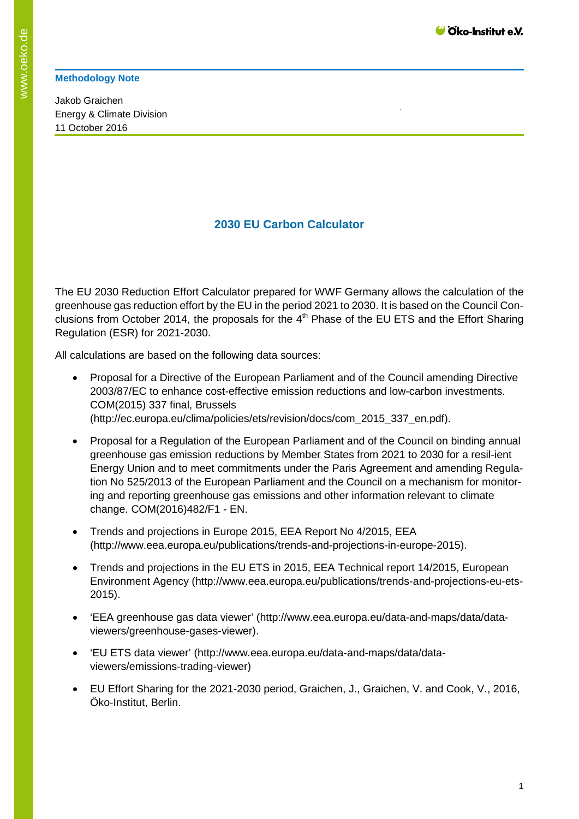## **Methodology Note**

Jakob Graichen Energy & Climate Division 11 October 2016

## **2030 EU Carbon Calculator**

The EU 2030 Reduction Effort Calculator prepared for WWF Germany allows the calculation of the greenhouse gas reduction effort by the EU in the period 2021 to 2030. It is based on the Council Conclusions from October 2014, the proposals for the  $4<sup>th</sup>$  Phase of the EU ETS and the Effort Sharing Regulation (ESR) for 2021-2030.

All calculations are based on the following data sources:

- Proposal for a Directive of the European Parliament and of the Council amending Directive 2003/87/EC to enhance cost-effective emission reductions and low-carbon investments. COM(2015) 337 final, Brussels (http://ec.europa.eu/clima/policies/ets/revision/docs/com\_2015\_337\_en.pdf).
- Proposal for a Regulation of the European Parliament and of the Council on binding annual greenhouse gas emission reductions by Member States from 2021 to 2030 for a resil-ient Energy Union and to meet commitments under the Paris Agreement and amending Regulation No 525/2013 of the European Parliament and the Council on a mechanism for monitoring and reporting greenhouse gas emissions and other information relevant to climate change. COM(2016)482/F1 - EN.
- Trends and projections in Europe 2015, EEA Report No 4/2015, EEA (http://www.eea.europa.eu/publications/trends-and-projections-in-europe-2015).
- Trends and projections in the EU ETS in 2015, EEA Technical report 14/2015, European Environment Agency (http://www.eea.europa.eu/publications/trends-and-projections-eu-ets-2015).
- 'EEA greenhouse gas data viewer' (http://www.eea.europa.eu/data-and-maps/data/dataviewers/greenhouse-gases-viewer).
- 'EU ETS data viewer' (http://www.eea.europa.eu/data-and-maps/data/dataviewers/emissions-trading-viewer)
- EU Effort Sharing for the 2021-2030 period, Graichen, J., Graichen, V. and Cook, V., 2016, Öko-Institut, Berlin.